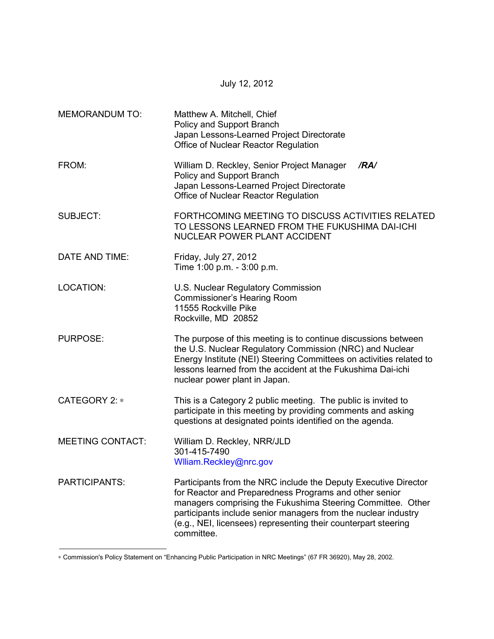| <b>MEMORANDUM TO:</b>   | Matthew A. Mitchell, Chief<br>Policy and Support Branch<br>Japan Lessons-Learned Project Directorate<br>Office of Nuclear Reactor Regulation                                                                                                                                                                                               |  |
|-------------------------|--------------------------------------------------------------------------------------------------------------------------------------------------------------------------------------------------------------------------------------------------------------------------------------------------------------------------------------------|--|
| FROM:                   | William D. Reckley, Senior Project Manager<br>/RA/<br>Policy and Support Branch<br>Japan Lessons-Learned Project Directorate<br>Office of Nuclear Reactor Regulation                                                                                                                                                                       |  |
| <b>SUBJECT:</b>         | FORTHCOMING MEETING TO DISCUSS ACTIVITIES RELATED<br>TO LESSONS LEARNED FROM THE FUKUSHIMA DAI-ICHI<br><b>NUCLEAR POWER PLANT ACCIDENT</b>                                                                                                                                                                                                 |  |
| DATE AND TIME:          | Friday, July 27, 2012<br>Time 1:00 p.m. - 3:00 p.m.                                                                                                                                                                                                                                                                                        |  |
| <b>LOCATION:</b>        | U.S. Nuclear Regulatory Commission<br><b>Commissioner's Hearing Room</b><br>11555 Rockville Pike<br>Rockville, MD 20852                                                                                                                                                                                                                    |  |
| <b>PURPOSE:</b>         | The purpose of this meeting is to continue discussions between<br>the U.S. Nuclear Regulatory Commission (NRC) and Nuclear<br>Energy Institute (NEI) Steering Committees on activities related to<br>lessons learned from the accident at the Fukushima Dai-ichi<br>nuclear power plant in Japan.                                          |  |
| CATEGORY 2: *           | This is a Category 2 public meeting. The public is invited to<br>participate in this meeting by providing comments and asking<br>questions at designated points identified on the agenda.                                                                                                                                                  |  |
| <b>MEETING CONTACT:</b> | William D. Reckley, NRR/JLD<br>301-415-7490<br>Wiliam.Reckley@nrc.gov                                                                                                                                                                                                                                                                      |  |
| <b>PARTICIPANTS:</b>    | Participants from the NRC include the Deputy Executive Director<br>for Reactor and Preparedness Programs and other senior<br>managers comprising the Fukushima Steering Committee. Other<br>participants include senior managers from the nuclear industry<br>(e.g., NEI, licensees) representing their counterpart steering<br>committee. |  |

July 12, 2012

∗ Commission's Policy Statement on "Enhancing Public Participation in NRC Meetings" (67 FR 36920), May 28, 2002.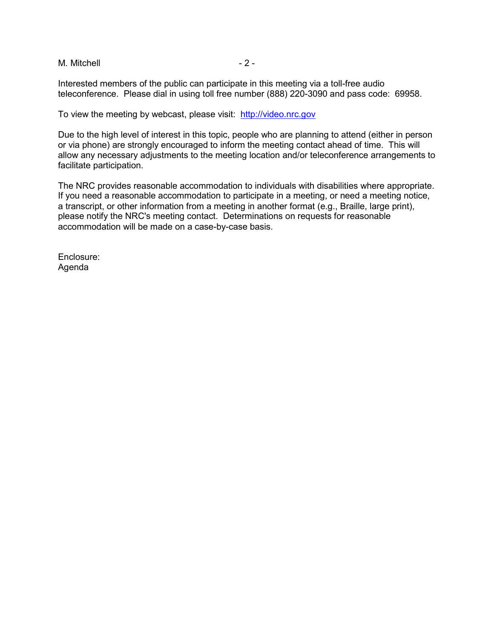M. Mitchell  $-2 -$ 

Interested members of the public can participate in this meeting via a toll-free audio teleconference. Please dial in using toll free number (888) 220-3090 and pass code: 69958.

To view the meeting by webcast, please visit: http://video.nrc.gov

Due to the high level of interest in this topic, people who are planning to attend (either in person or via phone) are strongly encouraged to inform the meeting contact ahead of time. This will allow any necessary adjustments to the meeting location and/or teleconference arrangements to facilitate participation.

The NRC provides reasonable accommodation to individuals with disabilities where appropriate. If you need a reasonable accommodation to participate in a meeting, or need a meeting notice, a transcript, or other information from a meeting in another format (e.g., Braille, large print), please notify the NRC's meeting contact. Determinations on requests for reasonable accommodation will be made on a case-by-case basis.

Enclosure: Agenda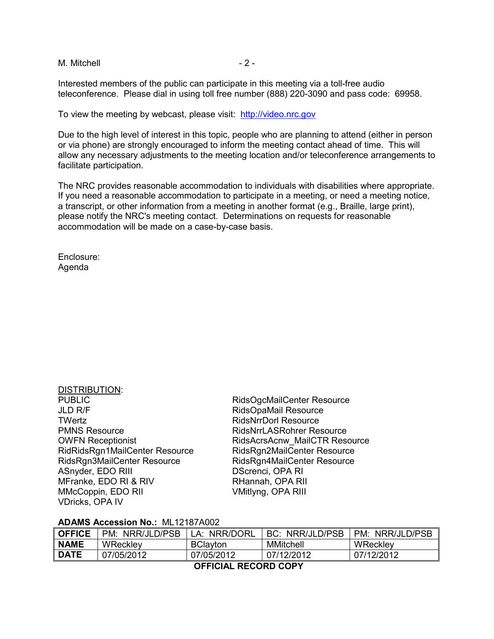M. Mitchell  $-2 -$ 

Interested members of the public can participate in this meeting via a toll-free audio teleconference. Please dial in using toll free number (888) 220-3090 and pass code: 69958.

To view the meeting by webcast, please visit: http://video.nrc.gov

Due to the high level of interest in this topic, people who are planning to attend (either in person or via phone) are strongly encouraged to inform the meeting contact ahead of time. This will allow any necessary adjustments to the meeting location and/or teleconference arrangements to facilitate participation.

The NRC provides reasonable accommodation to individuals with disabilities where appropriate. If you need a reasonable accommodation to participate in a meeting, or need a meeting notice, a transcript, or other information from a meeting in another format (e.g., Braille, large print), please notify the NRC's meeting contact. Determinations on requests for reasonable accommodation will be made on a case-by-case basis.

Enclosure: Agenda

DISTRIBUTION:

| DISTRIBUTION:                  |                                  |
|--------------------------------|----------------------------------|
| <b>PUBLIC</b>                  | RidsOgcMailCenter Resource       |
| <b>JLD R/F</b>                 | RidsOpaMail Resource             |
| TWertz                         | <b>RidsNrrDorl Resource</b>      |
| <b>PMNS Resource</b>           | <b>RidsNrrLASRohrer Resource</b> |
| <b>OWFN Receptionist</b>       | RidsAcrsAcnw MailCTR Resource    |
| RidRidsRgn1MailCenter Resource | RidsRgn2MailCenter Resource      |
| RidsRgn3MailCenter Resource    | RidsRgn4MailCenter Resource      |
| ASnyder, EDO RIII              | DScrenci, OPA RI                 |
| MFranke, EDO RI & RIV          | RHannah, OPA RII                 |
| MMcCoppin, EDO RII             | VMitlyng, OPA RIII               |
| <b>VDricks, OPA IV</b>         |                                  |

#### **ADAMS Accession No.:** ML12187A002

| <b>OFFICE</b> | PM:<br>NRR/JLD/PSB | <b>A: NRR/DORL</b> | <b>BC: NRR/JLD/PSB</b> | NRR/JLD/PSB<br>PM: |
|---------------|--------------------|--------------------|------------------------|--------------------|
| <b>NAME</b>   | <b>WReckley</b>    | <b>BClayton</b>    | <b>MMitchell</b>       | WReckley           |
| <b>DATE</b>   | 07/05/2012         | 07/05/2012         | 07/12/2012             | 07/12/2012         |

 **OFFICIAL RECORD COPY**